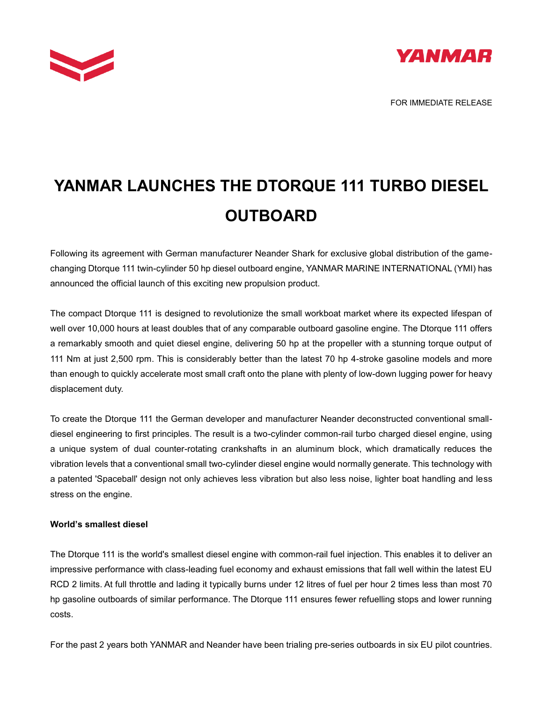



## **YANMAR LAUNCHES THE DTORQUE 111 TURBO DIESEL OUTBOARD**

Following its agreement with German manufacturer Neander Shark for exclusive global distribution of the gamechanging Dtorque 111 twin-cylinder 50 hp diesel outboard engine, YANMAR MARINE INTERNATIONAL (YMI) has announced the official launch of this exciting new propulsion product.

The compact Dtorque 111 is designed to revolutionize the small workboat market where its expected lifespan of well over 10,000 hours at least doubles that of any comparable outboard gasoline engine. The Dtorque 111 offers a remarkably smooth and quiet diesel engine, delivering 50 hp at the propeller with a stunning torque output of 111 Nm at just 2,500 rpm. This is considerably better than the latest 70 hp 4-stroke gasoline models and more than enough to quickly accelerate most small craft onto the plane with plenty of low-down lugging power for heavy displacement duty.

To create the Dtorque 111 the German developer and manufacturer Neander deconstructed conventional smalldiesel engineering to first principles. The result is a two-cylinder common-rail turbo charged diesel engine, using a unique system of dual counter-rotating crankshafts in an aluminum block, which dramatically reduces the vibration levels that a conventional small two-cylinder diesel engine would normally generate. This technology with a patented 'Spaceball' design not only achieves less vibration but also less noise, lighter boat handling and less stress on the engine.

## **World's smallest diesel**

The Dtorque 111 is the world's smallest diesel engine with common-rail fuel injection. This enables it to deliver an impressive performance with class-leading fuel economy and exhaust emissions that fall well within the latest EU RCD 2 limits. At full throttle and lading it typically burns under 12 litres of fuel per hour 2 times less than most 70 hp gasoline outboards of similar performance. The Dtorque 111 ensures fewer refuelling stops and lower running costs.

For the past 2 years both YANMAR and Neander have been trialing pre-series outboards in six EU pilot countries.